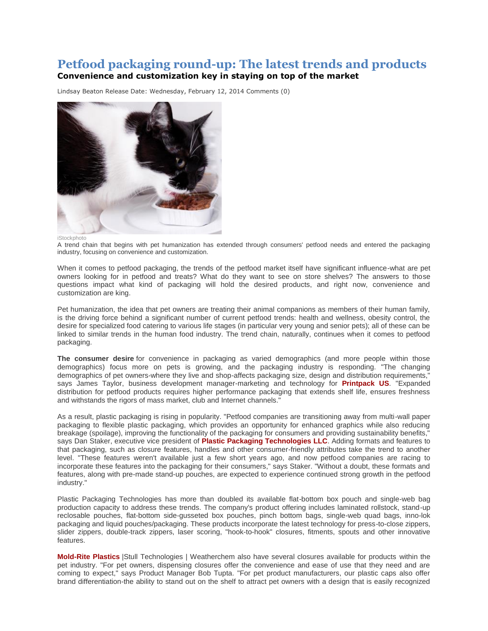## **Petfood packaging round-up: The latest trends and products Convenience and customization key in staying on top of the market**

Lindsay Beaton Release Date: Wednesday, February 12, 2014 [Comments](http://www.petfoodindustry.com/PrintPage.aspx?id=50058#commentsection) (0)



iStockphoto

A trend chain that begins with pet humanization has extended through consumers' petfood needs and entered the packaging industry, focusing on convenience and customization.

When it comes to petfood packaging, the trends of the petfood market itself have significant influence-what are pet owners looking for in petfood and treats? What do they want to see on store shelves? The answers to those questions impact what kind of packaging will hold the desired products, and right now, convenience and customization are king.

Pet humanization, the idea that pet owners are treating their animal companions as members of their human family, is the driving force behind a significant number of current petfood trends: health and wellness, obesity control, the desire for specialized food catering to various life stages (in particular very young and senior pets); all of these can be linked to similar trends in the human food industry. The trend chain, naturally, continues when it comes to petfood packaging.

**The consumer desire** for convenience in packaging as varied demographics (and more people within those demographics) focus more on pets is growing, and the packaging industry is responding. "The changing demographics of pet owners-where they live and shop-affects packaging size, design and distribution requirements," says James Taylor, business development manager-marketing and technology for **[Printpack US](http://www.printpack.com/)**. "Expanded distribution for petfood products requires higher performance packaging that extends shelf life, ensures freshness and withstands the rigors of mass market, club and Internet channels."

As a result, plastic packaging is rising in popularity. "Petfood companies are transitioning away from multi-wall paper packaging to flexible plastic packaging, which provides an opportunity for enhanced graphics while also reducing breakage (spoilage), improving the functionality of the packaging for consumers and providing sustainability benefits," says Dan Staker, executive vice president of **[Plastic Packaging Technologies LLC](http://www.plaspack.com/)**. Adding formats and features to that packaging, such as closure features, handles and other consumer-friendly attributes take the trend to another level. "These features weren't available just a few short years ago, and now petfood companies are racing to incorporate these features into the packaging for their consumers," says Staker. "Without a doubt, these formats and features, along with pre-made stand-up pouches, are expected to experience continued strong growth in the petfood industry."

Plastic Packaging Technologies has more than doubled its available flat-bottom box pouch and single-web bag production capacity to address these trends. The company's product offering includes laminated rollstock, stand-up reclosable pouches, flat-bottom side-gusseted box pouches, pinch bottom bags, single-web quad bags, inno-lok packaging and liquid pouches/packaging. These products incorporate the latest technology for press-to-close zippers, slider zippers, double-track zippers, laser scoring, "hook-to-hook" closures, fitments, spouts and other innovative features.

**[Mold-Rite Plastics](http://www.mrpcap.com/)** |Stull Technologies | Weatherchem also have several closures available for products within the pet industry. "For pet owners, dispensing closures offer the convenience and ease of use that they need and are coming to expect," says Product Manager Bob Tupta. "For pet product manufacturers, our plastic caps also offer brand differentiation-the ability to stand out on the shelf to attract pet owners with a design that is easily recognized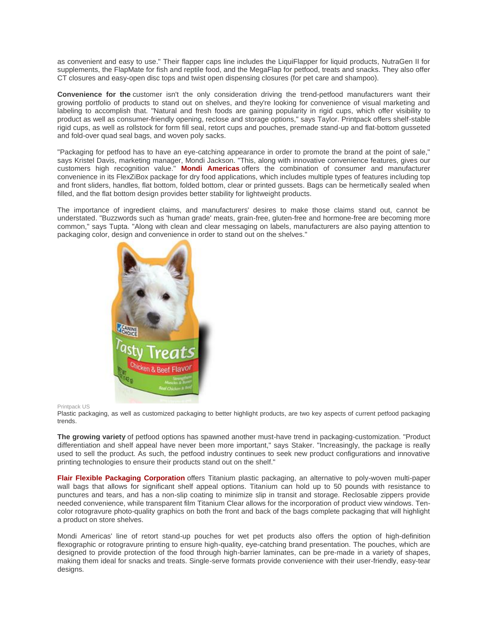as convenient and easy to use." Their flapper caps line includes the LiquiFlapper for liquid products, NutraGen II for supplements, the FlapMate for fish and reptile food, and the MegaFlap for petfood, treats and snacks. They also offer CT closures and easy-open disc tops and twist open dispensing closures (for pet care and shampoo).

**Convenience for the** customer isn't the only consideration driving the trend-petfood manufacturers want their growing portfolio of products to stand out on shelves, and they're looking for convenience of visual marketing and labeling to accomplish that. "Natural and fresh foods are gaining popularity in rigid cups, which offer visibility to product as well as consumer-friendly opening, reclose and storage options," says Taylor. Printpack offers shelf-stable rigid cups, as well as rollstock for form fill seal, retort cups and pouches, premade stand-up and flat-bottom gusseted and fold-over quad seal bags, and woven poly sacks.

"Packaging for petfood has to have an eye-catching appearance in order to promote the brand at the point of sale," says Kristel Davis, marketing manager, Mondi Jackson. "This, along with innovative convenience features, gives our customers high recognition value." **[Mondi Americas](http://www.mondigroup.com/)** offers the combination of consumer and manufacturer convenience in its FlexZiBox package for dry food applications, which includes multiple types of features including top and front sliders, handles, flat bottom, folded bottom, clear or printed gussets. Bags can be hermetically sealed when filled, and the flat bottom design provides better stability for lightweight products.

The importance of ingredient claims, and manufacturers' desires to make those claims stand out, cannot be understated. "Buzzwords such as 'human grade' meats, grain-free, gluten-free and hormone-free are becoming more common," says Tupta. "Along with clean and clear messaging on labels, manufacturers are also paying attention to packaging color, design and convenience in order to stand out on the shelves."



## Printpack US

Plastic packaging, as well as customized packaging to better highlight products, are two key aspects of current petfood packaging trends.

**The growing variety** of petfood options has spawned another must-have trend in packaging-customization. "Product differentiation and shelf appeal have never been more important," says Staker. "Increasingly, the package is really used to sell the product. As such, the petfood industry continues to seek new product configurations and innovative printing technologies to ensure their products stand out on the shelf."

**[Flair Flexible Packaging Corporation](http://www.flairpackaging.com/)** offers Titanium plastic packaging, an alternative to poly-woven multi-paper wall bags that allows for significant shelf appeal options. Titanium can hold up to 50 pounds with resistance to punctures and tears, and has a non-slip coating to minimize slip in transit and storage. Reclosable zippers provide needed convenience, while transparent film Titanium Clear allows for the incorporation of product view windows. Tencolor rotogravure photo-quality graphics on both the front and back of the bags complete packaging that will highlight a product on store shelves.

Mondi Americas' line of retort stand-up pouches for wet pet products also offers the option of high-definition flexographic or rotogravure printing to ensure high-quality, eye-catching brand presentation. The pouches, which are designed to provide protection of the food through high-barrier laminates, can be pre-made in a variety of shapes, making them ideal for snacks and treats. Single-serve formats provide convenience with their user-friendly, easy-tear designs.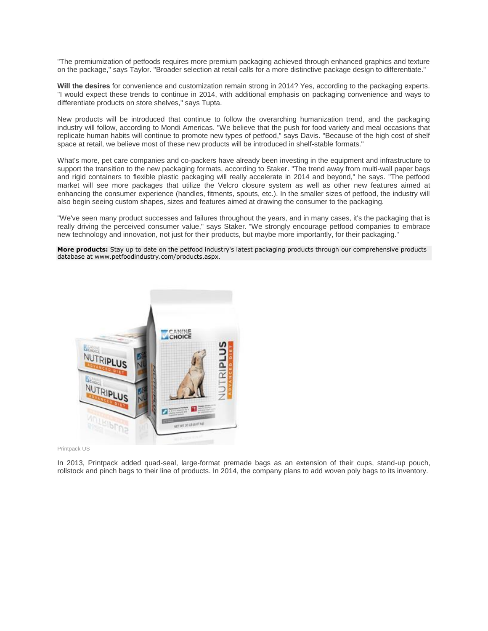"The premiumization of petfoods requires more premium packaging achieved through enhanced graphics and texture on the package," says Taylor. "Broader selection at retail calls for a more distinctive package design to differentiate."

**Will the desires** for convenience and customization remain strong in 2014? Yes, according to the packaging experts. "I would expect these trends to continue in 2014, with additional emphasis on packaging convenience and ways to differentiate products on store shelves," says Tupta.

New products will be introduced that continue to follow the overarching humanization trend, and the packaging industry will follow, according to Mondi Americas. "We believe that the push for food variety and meal occasions that replicate human habits will continue to promote new types of petfood," says Davis. "Because of the high cost of shelf space at retail, we believe most of these new products will be introduced in shelf-stable formats."

What's more, pet care companies and co-packers have already been investing in the equipment and infrastructure to support the transition to the new packaging formats, according to Staker. "The trend away from multi-wall paper bags and rigid containers to flexible plastic packaging will really accelerate in 2014 and beyond," he says. "The petfood market will see more packages that utilize the Velcro closure system as well as other new features aimed at enhancing the consumer experience (handles, fitments, spouts, etc.). In the smaller sizes of petfood, the industry will also begin seeing custom shapes, sizes and features aimed at drawing the consumer to the packaging.

"We've seen many product successes and failures throughout the years, and in many cases, it's the packaging that is really driving the perceived consumer value," says Staker. "We strongly encourage petfood companies to embrace new technology and innovation, not just for their products, but maybe more importantly, for their packaging."

**More products:** Stay up to date on the petfood industry's latest packaging products through our comprehensive products database at www.petfoodindustry.com/products.aspx.



Printpack US

In 2013, Printpack added quad-seal, large-format premade bags as an extension of their cups, stand-up pouch, rollstock and pinch bags to their line of products. In 2014, the company plans to add woven poly bags to its inventory.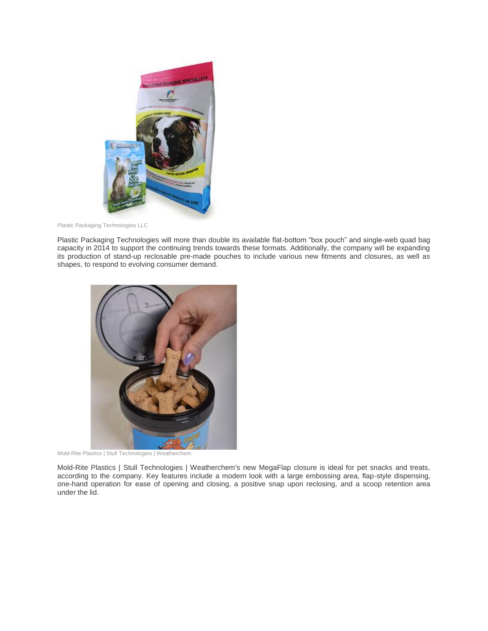

Plastic Packaging Technologies LLC

Plastic Packaging Technologies will more than double its available flat-bottom "box pouch" and single-web quad bag capacity in 2014 to support the continuing trends towards these formats. Additionally, the company will be expanding its production of stand-up reclosable pre-made pouches to include various new fitments and closures, as well as shapes, to respond to evolving consumer demand.



Mold-Rite Plastics | Stull Technologies | Weatherchem

Mold-Rite Plastics | Stull Technologies | Weatherchem's new MegaFlap closure is ideal for pet snacks and treats, according to the company. Key features include a modern look with a large embossing area, flap-style dispensing, one-hand operation for ease of opening and closing, a positive snap upon reclosing, and a scoop retention area under the lid.